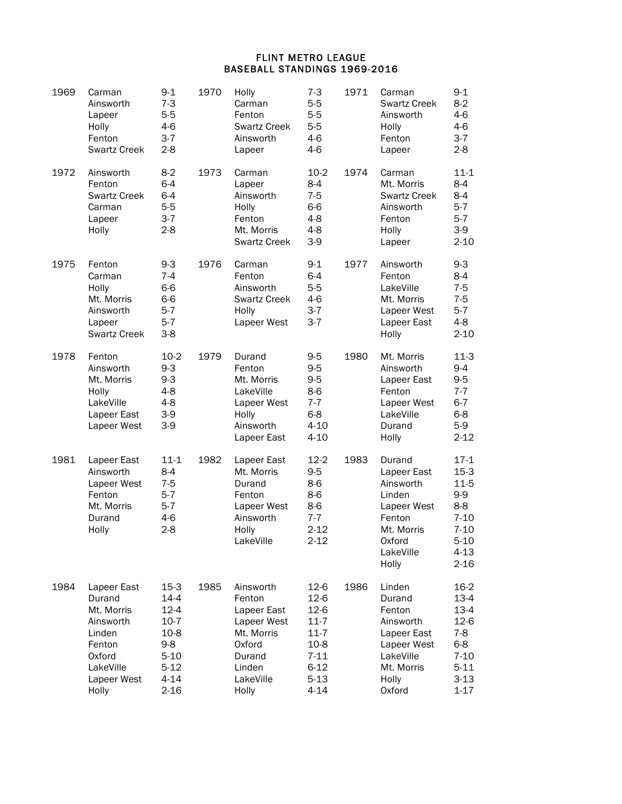## FLINT METRO LEAGUE BASEBALL STANDINGS 1969-2016

| 1969 | Carman<br>Ainsworth<br>Lapeer<br>Holly<br>Fenton<br><b>Swartz Creek</b>                                             | $9 - 1$<br>$7 - 3$<br>$5-5$<br>$4-6$<br>$3 - 7$<br>$2 - 8$                                                  | 1970 | Holly<br>Carman<br>Fenton<br><b>Swartz Creek</b><br>Ainsworth<br>Lapeer                                             | $7 - 3$<br>$5-5$<br>$5-5$<br>$5-5$<br>$4-6$<br>$4-6$                                                         | 1971 | Carman<br><b>Swartz Creek</b><br>Ainsworth<br>Holly<br>Fenton<br>Lapeer                                             | $9 - 1$<br>$8-2$<br>4-6<br>$4-6$<br>$3 - 7$<br>$2 - 8$                                                   |
|------|---------------------------------------------------------------------------------------------------------------------|-------------------------------------------------------------------------------------------------------------|------|---------------------------------------------------------------------------------------------------------------------|--------------------------------------------------------------------------------------------------------------|------|---------------------------------------------------------------------------------------------------------------------|----------------------------------------------------------------------------------------------------------|
| 1972 | Ainsworth<br>Fenton<br><b>Swartz Creek</b><br>Carman<br>Lapeer<br>Holly                                             | $8-2$<br>$6 - 4$<br>$6 - 4$<br>$5-5$<br>$3 - 7$<br>$2 - 8$                                                  | 1973 | Carman<br>Lapeer<br>Ainsworth<br>Holly<br>Fenton<br>Mt. Morris<br><b>Swartz Creek</b>                               | $10-2$<br>$8-4$<br>$7 - 5$<br>$6-6$<br>$4 - 8$<br>$4 - 8$<br>$3-9$                                           | 1974 | Carman<br>Mt. Morris<br><b>Swartz Creek</b><br>Ainsworth<br>Fenton<br>Holly<br>Lapeer                               | $11 - 1$<br>8-4<br>8-4<br>$5-7$<br>$5-7$<br>$3-9$<br>$2 - 10$                                            |
| 1975 | Fenton<br>Carman<br>Holly<br>Mt. Morris<br>Ainsworth<br>Lapeer<br><b>Swartz Creek</b>                               | $9-3$<br>$7 - 4$<br>$6-6$<br>6-6<br>$5-7$<br>$5-7$<br>$3-8$                                                 | 1976 | Carman<br>Fenton<br>Ainsworth<br><b>Swartz Creek</b><br>Holly<br>Lapeer West                                        | $9 - 1$<br>$6 - 4$<br>$5-5$<br>$4-6$<br>$3-7$<br>$3-7$                                                       | 1977 | Ainsworth<br>Fenton<br>LakeVille<br>Mt. Morris<br>Lapeer West<br>Lapeer East<br>Holly                               | $9 - 3$<br>$8-4$<br>$7 - 5$<br>$7 - 5$<br>$5-7$<br>$4 - 8$<br>$2 - 10$                                   |
| 1978 | Fenton<br>Ainsworth<br>Mt. Morris<br>Holly<br>LakeVille<br>Lapeer East<br>Lapeer West                               | $10-2$<br>$9 - 3$<br>$9 - 3$<br>4-8<br>$4 - 8$<br>$3-9$<br>$3-9$                                            | 1979 | Durand<br>Fenton<br>Mt. Morris<br>LakeVille<br>Lapeer West<br>Holly<br>Ainsworth<br>Lapeer East                     | $9-5$<br>$9-5$<br>$9-5$<br>$8-6$<br>$7 - 7$<br>$6 - 8$<br>$4 - 10$<br>$4 - 10$                               | 1980 | Mt. Morris<br>Ainsworth<br>Lapeer East<br>Fenton<br>Lapeer West<br>LakeVille<br>Durand<br>Holly                     | $11-3$<br>9-4<br>$9-5$<br>$7 - 7$<br>$6 - 7$<br>$6 - 8$<br>$5-9$<br>$2 - 12$                             |
| 1981 | Lapeer East<br>Ainsworth<br>Lapeer West<br>Fenton<br>Mt. Morris<br>Durand<br>Holly                                  | $11 - 1$<br>$8 - 4$<br>$7 - 5$<br>$5 - 7$<br>$5 - 7$<br>$4-6$<br>$2 - 8$                                    | 1982 | Lapeer East<br>Mt. Morris<br>Durand<br>Fenton<br>Lapeer West<br>Ainsworth<br>Holly<br>LakeVille                     | $12-2$<br>$9-5$<br>$8-6$<br>$8-6$<br>$8-6$<br>$7 - 7$<br>$2 - 12$<br>$2 - 12$                                | 1983 | Durand<br>Lapeer East<br>Ainsworth<br>Linden<br>Lapeer West<br>Fenton<br>Mt. Morris<br>Oxford<br>LakeVille<br>Holly | $17-1$<br>$15-3$<br>$11-5$<br>9-9<br>8-8<br>$7 - 10$<br>$7 - 10$<br>$5 - 10$<br>4-13<br>$2 - 16$         |
| 1984 | Lapeer East<br>Durand<br>Mt. Morris<br>Ainsworth<br>Linden<br>Fenton<br>Oxford<br>LakeVille<br>Lapeer West<br>Holly | $15-3$<br>$14 - 4$<br>$12 - 4$<br>$10-7$<br>$10-8$<br>$9 - 8$<br>$5 - 10$<br>$5-12$<br>$4 - 14$<br>$2 - 16$ | 1985 | Ainsworth<br>Fenton<br>Lapeer East<br>Lapeer West<br>Mt. Morris<br>Oxford<br>Durand<br>Linden<br>LakeVille<br>Holly | $12-6$<br>$12-6$<br>$12-6$<br>$11 - 7$<br>$11 - 7$<br>$10-8$<br>$7 - 11$<br>$6 - 12$<br>$5 - 13$<br>$4 - 14$ | 1986 | Linden<br>Durand<br>Fenton<br>Ainsworth<br>Lapeer East<br>Lapeer West<br>LakeVille<br>Mt. Morris<br>Holly<br>Oxford | $16-2$<br>$13-4$<br>$13-4$<br>$12-6$<br>$7-8$<br>$6 - 8$<br>$7 - 10$<br>$5 - 11$<br>$3 - 13$<br>$1 - 17$ |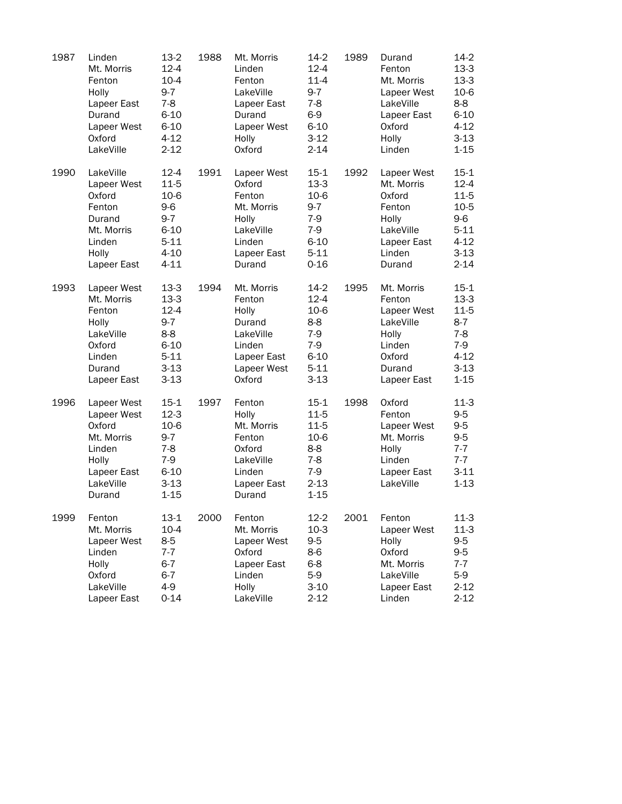| 1987 | Linden<br>Mt. Morris<br>Fenton<br>Holly<br>Lapeer East<br>Durand<br>Lapeer West<br>Oxford<br>LakeVille      | $13-2$<br>$12 - 4$<br>$10 - 4$<br>$9 - 7$<br>$7 - 8$<br>$6 - 10$<br>$6 - 10$<br>$4 - 12$<br>$2 - 12$ | 1988 | Mt. Morris<br>Linden<br>Fenton<br>LakeVille<br>Lapeer East<br>Durand<br>Lapeer West<br>Holly<br>Oxford | $14-2$<br>$12 - 4$<br>$11 - 4$<br>$9 - 7$<br>$7 - 8$<br>$6-9$<br>$6 - 10$<br>$3 - 12$<br>$2 - 14$ | 1989 | Durand<br>Fenton<br>Mt. Morris<br>Lapeer West<br>LakeVille<br>Lapeer East<br>Oxford<br>Holly<br>Linden | $14-2$<br>$13-3$<br>$13-3$<br>$10-6$<br>$8-8$<br>$6 - 10$<br>$4 - 12$<br>$3-13$<br>$1 - 15$     |
|------|-------------------------------------------------------------------------------------------------------------|------------------------------------------------------------------------------------------------------|------|--------------------------------------------------------------------------------------------------------|---------------------------------------------------------------------------------------------------|------|--------------------------------------------------------------------------------------------------------|-------------------------------------------------------------------------------------------------|
| 1990 | LakeVille<br>Lapeer West<br>Oxford<br>Fenton<br>Durand<br>Mt. Morris<br>Linden<br>Holly<br>Lapeer East      | $12 - 4$<br>$11 - 5$<br>10-6<br>9-6<br>$9-7$<br>$6 - 10$<br>$5 - 11$<br>$4 - 10$<br>$4 - 11$         | 1991 | Lapeer West<br>Oxford<br>Fenton<br>Mt. Morris<br>Holly<br>LakeVille<br>Linden<br>Lapeer East<br>Durand | $15-1$<br>$13-3$<br>$10-6$<br>$9-7$<br>$7-9$<br>$7-9$<br>$6 - 10$<br>$5 - 11$<br>$0 - 16$         | 1992 | Lapeer West<br>Mt. Morris<br>Oxford<br>Fenton<br>Holly<br>LakeVille<br>Lapeer East<br>Linden<br>Durand | $15-1$<br>$12 - 4$<br>$11-5$<br>$10-5$<br>$9-6$<br>$5 - 11$<br>$4 - 12$<br>$3 - 13$<br>$2 - 14$ |
| 1993 | Lapeer West<br>Mt. Morris<br>Fenton<br>Holly<br>LakeVille<br>Oxford<br>Linden<br>Durand<br>Lapeer East      | $13-3$<br>$13-3$<br>$12 - 4$<br>$9-7$<br>$8 - 8$<br>$6 - 10$<br>$5 - 11$<br>$3 - 13$<br>$3 - 13$     | 1994 | Mt. Morris<br>Fenton<br>Holly<br>Durand<br>LakeVille<br>Linden<br>Lapeer East<br>Lapeer West<br>Oxford | $14-2$<br>$12 - 4$<br>10-6<br>$8 - 8$<br>$7-9$<br>$7-9$<br>$6 - 10$<br>$5 - 11$<br>$3 - 13$       | 1995 | Mt. Morris<br>Fenton<br>Lapeer West<br>LakeVille<br>Holly<br>Linden<br>Oxford<br>Durand<br>Lapeer East | $15-1$<br>$13-3$<br>$11-5$<br>$8-7$<br>$7 - 8$<br>$7-9$<br>$4 - 12$<br>$3 - 13$<br>$1 - 15$     |
| 1996 | Lapeer West<br>Lapeer West<br>Oxford<br>Mt. Morris<br>Linden<br>Holly<br>Lapeer East<br>LakeVille<br>Durand | $15 - 1$<br>$12-3$<br>10-6<br>$9 - 7$<br>7-8<br>$7-9$<br>$6 - 10$<br>$3 - 13$<br>$1 - 15$            | 1997 | Fenton<br>Holly<br>Mt. Morris<br>Fenton<br>Oxford<br>LakeVille<br>Linden<br>Lapeer East<br>Durand      | $15 - 1$<br>$11 - 5$<br>$11 - 5$<br>10-6<br>$8-8$<br>7-8<br>$7-9$<br>$2 - 13$<br>$1 - 15$         | 1998 | Oxford<br>Fenton<br>Lapeer West<br>Mt. Morris<br>Holly<br>Linden<br>Lapeer East<br>LakeVille           | $11-3$<br>$9-5$<br>$9-5$<br>$9-5$<br>$7 - 7$<br>$7 - 7$<br>$3 - 11$<br>$1 - 13$                 |
| 1999 | Fenton<br>Mt. Morris<br>Lapeer West<br>Linden<br>Holly<br>Oxford<br>LakeVille<br>Lapeer East                | $13-1$<br>$10 - 4$<br>$8-5$<br>$7 - 7$<br>$6 - 7$<br>$6 - 7$<br>$4-9$<br>$0 - 14$                    | 2000 | Fenton<br>Mt. Morris<br>Lapeer West<br>Oxford<br>Lapeer East<br>Linden<br>Holly<br>LakeVille           | $12 - 2$<br>$10-3$<br>$9-5$<br>8-6<br>$6 - 8$<br>$5-9$<br>$3-10$<br>$2 - 12$                      | 2001 | Fenton<br>Lapeer West<br>Holly<br>Oxford<br>Mt. Morris<br>LakeVille<br>Lapeer East<br>Linden           | $11-3$<br>$11-3$<br>$9-5$<br>$9 - 5$<br>$7 - 7$<br>$5-9$<br>$2 - 12$<br>$2 - 12$                |